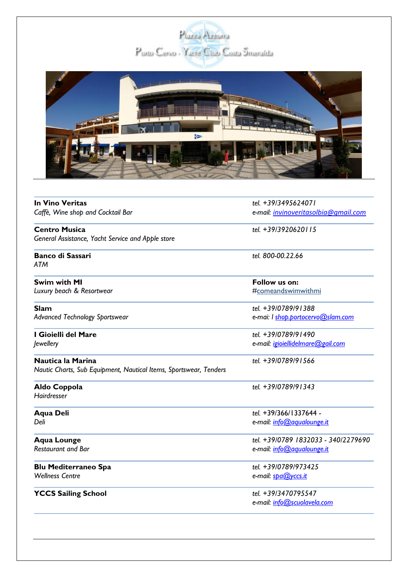



| <b>In Vino Veritas</b>                                                                 | tel. +39/3495624071                  |
|----------------------------------------------------------------------------------------|--------------------------------------|
| Caffè, Wine shop and Cocktail Bar                                                      | e-mail: invinoveritasolbia@gmail.com |
| <b>Centro Musica</b>                                                                   | tel. +39/3920620115                  |
| General Assistance, Yacht Service and Apple store                                      |                                      |
| <b>Banco di Sassari</b><br><b>ATM</b>                                                  | tel. 800-00.22.66                    |
| <b>Swim with MI</b>                                                                    | Follow us on:                        |
| Luxury beach & Resortwear                                                              | #comeandswimwithmi                   |
| <b>Slam</b>                                                                            | tel. +39/0789/91388                  |
| <b>Advanced Technology Sportswear</b>                                                  | e-mai: I shop.portocervo@slam.com    |
| I Gioielli del Mare                                                                    | tel. +39/0789/91490                  |
| Jewellery                                                                              | e-mail: igioiellidelmare@gail.com    |
| Nautica la Marina<br>Nautic Charts, Sub Equipment, Nautical Items, Sportswear, Tenders | tel. +39/0789/91566                  |
| Aldo Coppola<br>Hairdresser                                                            | tel. +39/0789/91343                  |
| <b>Aqua Deli</b>                                                                       | tel. +39/366/1337644 -               |
| Deli                                                                                   | e-mail: info@agualounge.it           |
| <b>Aqua Lounge</b>                                                                     | tel. +39/0789 1832033 - 340/2279690  |
| <b>Restaurant and Bar</b>                                                              | e-mail: info@agualounge.it           |
| <b>Blu Mediterraneo Spa</b>                                                            | tel. +39/0789/973425                 |
| <b>Wellness Centre</b>                                                                 | e-mail: spa@yccs.it                  |
| <b>YCCS Sailing School</b>                                                             | tel. +39/3470795547                  |
|                                                                                        | e-mail: info@scuolavela.com          |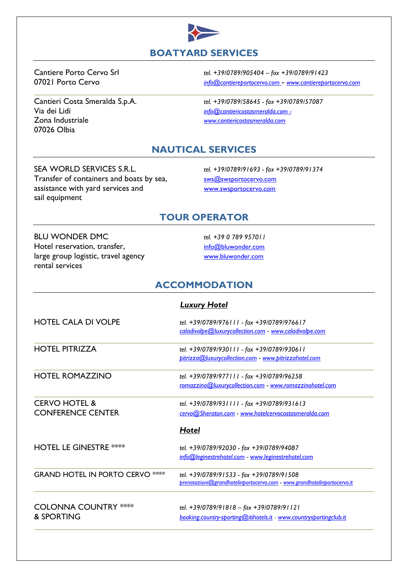

Via dei Lidi *[info@cantiericostasmeralda.com](mailto:info@cantiericostasmeralda.com) -* Zona Industriale *[www.cantiericostasmeralda.com](http://www.cantiericostasmeralda.com/)* 07026 Olbia

Cantiere Porto Cervo Srl *tel. +39/0789/905404 – fax +39/0789/91423* 07021 Porto Cervo *[info@cantiereportocervo.com](mailto:info@cantiere.com)* - *[www.cantiereportocervo.com](http://www.cantiereportocervo.com/)*

Cantieri Costa Smeralda S.p.A. *tel. +39/0789/58645 - fax +39/0789/57087*

# **NAUTICAL SERVICES**

### SEA WORLD SERVICES S.R.L. *tel. +39/0789/91693 - fax +39/0789/91374* Transfer of containers and boats by sea, [sws@swsportocervo.com](mailto:sws@swsportocervo.com)

sail equipment

assistance with yard services and [www.swsportocervo.com](http://www.swsportocervo.com/)

# **TOUR OPERATOR**

BLU WONDER DMC *tel. +39 0 789 957011* Hotel reservation, transfer, [info@bluwonder.com](mailto:info@bluwonder.com) large group logistic, travel agency [www.bluwonder.com](http://www.bluwonder.com/) rental services

# **ACCOMMODATION**

|                                                      | <b>Luxury Hotel</b>                                                                                                 |
|------------------------------------------------------|---------------------------------------------------------------------------------------------------------------------|
| <b>HOTEL CALA DI VOLPE</b>                           | tel. +39/0789/976111 - fax +39/0789/976617<br>caladivolpe@luxurycollection.com - www.caladivolpe.com                |
| <b>HOTEL PITRIZZA</b>                                | tel. +39/0789/930111 - fax +39/0789/930611<br>pitrizza@luxurycollection.com - www.pitrizzahotel.com                 |
| <b>HOTEL ROMAZZINO</b>                               | tel. +39/0789/977111 - fax +39/0789/96258<br>romazzino@luxurycollection.com - www.romazzinohotel.com                |
| <b>CERVO HOTEL &amp;</b><br><b>CONFERENCE CENTER</b> | tel. +39/0789/931111 - fax +39/0789/931613<br>cervo@Sheraton.com - www.hotelcervocostasmeralda.com                  |
|                                                      | <b>Hotel</b>                                                                                                        |
| <b>HOTEL LE GINESTRE ****</b>                        | tel. +39/0789/92030 - fax +39/0789/94087<br>info@leginestrehotel.com - www.leginestrehotel.com                      |
| <b>GRAND HOTEL IN PORTO CERVO ****</b>               | tel. +39/0789/91533 - fax +39/0789/91508<br>prenotazioni@grandhotelinportocervo.com - www.grandhotelinportocervo.it |
| <b>COLONNA COUNTRY ****</b><br>& SPORTING            | tel. +39/0789/91818 - fax +39/0789/91121<br>booking.country-sporting@itihotels.it - www.countrysportingclub.it      |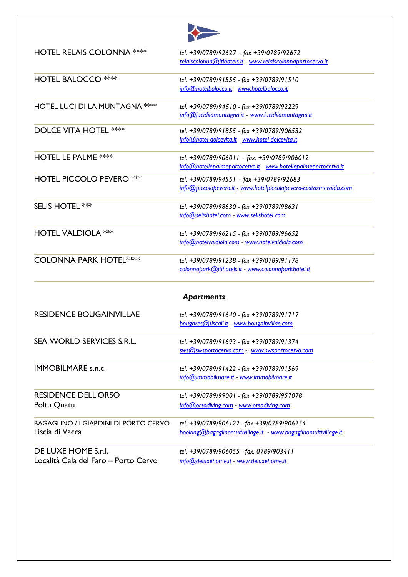

| <b>HOTEL RELAIS COLONNA ****</b>                                | tel. +39/0789/92627 - fax +39/0789/92672<br>relaiscolonna@itihotels.it - www.relaiscolonnaportocervo.it       |
|-----------------------------------------------------------------|---------------------------------------------------------------------------------------------------------------|
| <b>HOTEL BALOCCO ****</b>                                       | tel. +39/0789/91555 - fax +39/0789/91510<br>info@hotelbalocco.it www.hotelbalocco.it                          |
| <b>HOTEL LUCI DI LA MUNTAGNA ****</b>                           | tel. +39/0789/94510 - fax +39/0789/92229<br>info@lucidilamuntagna.it - www.lucidilamuntagna.it                |
| <b>DOLCE VITA HOTEL ****</b>                                    | tel. +39/0789/91855 - fax +39/0789/906532<br>info@hotel-dolcevita.it - www.hotel-dolcevita.it                 |
| <b>HOTEL LE PALME ****</b>                                      | tel. +39/0789/906011 - fax. +39/0789/906012<br>info@hotellepalmeportocervo.it - www.hotellepalmeportocervo.it |
| <b>HOTEL PICCOLO PEVERO ***</b>                                 | tel. +39/0789/94551 - fax +39/0789/92683<br>info@piccolopevero.it - www.hotelpiccolopevero-costasmeralda.com  |
| <b>SELIS HOTEL ***</b>                                          | tel. +39/0789/98630 - fax +39/0789/98631<br>info@selishotel.com - www.selishotel.com                          |
| <b>HOTEL VALDIOLA ***</b>                                       | tel. +39/0789/96215 - fax +39/0789/96652<br>info@hotelvaldiola.com - www.hotelvaldiola.com                    |
| <b>COLONNA PARK HOTEL****</b>                                   | tel. +39/0789/91238 - fax +39/0789/91178<br>colonnapark@itihotels.it - www.colonnaparkhotel.it                |
|                                                                 | <b>Apartments</b>                                                                                             |
| <b>RESIDENCE BOUGAINVILLAE</b>                                  | tel. +39/0789/91640 - fax +39/0789/91717<br>bougares@tiscali.it - www.bougainvillae.com                       |
| SEA WORLD SERVICES S.R.L.                                       | tel. +39/0789/91693 - fax +39/0789/91374<br>sws(Q)swsbortocervo.com www.swsbortocervo.com                     |
| <b>IMMOBILMARE s.n.c.</b>                                       | tel. +39/0789/91422 - fax +39/0789/91569<br>info@immobilmare.it - www.immobilmare.it                          |
| <b>RESIDENCE DELL'ORSO</b><br>Poltu Quatu                       | tel. +39/0789/99001 - fax +39/0789/957078<br>info@orsodiving.com - www.orsodiving.com                         |
| <b>BAGAGLINO / I GIARDINI DI PORTO CERVO</b><br>Liscia di Vacca | tel. +39/0789/906122 - fax +39/0789/906254<br>booking@bagaglinomultivillage.it - www.bagaglinomultivillage.it |
| DE LUXE HOME S.r.I.<br>Località Cala del Faro - Porto Cervo     | tel. +39/0789/906055 - fax. 0789/903411<br>info@deluxehome.it - www.deluxehome.it                             |